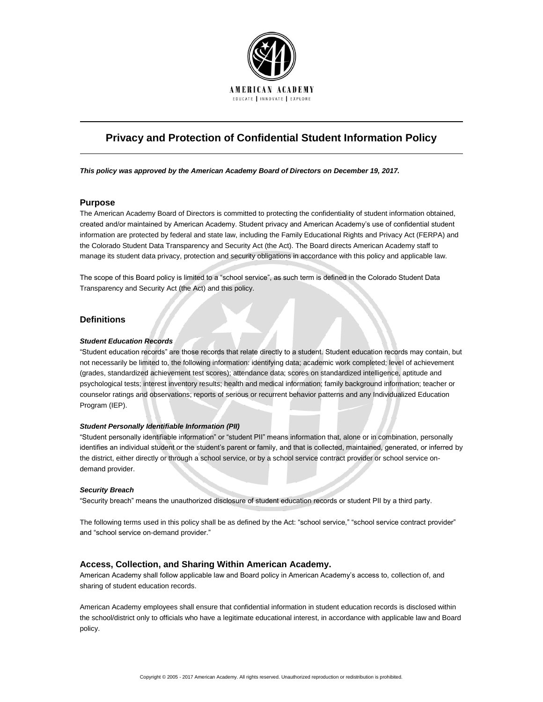

# **Privacy and Protection of Confidential Student Information Policy**

*This policy was approved by the American Academy Board of Directors on December 19, 2017.*

## **Purpose**

The American Academy Board of Directors is committed to protecting the confidentiality of student information obtained, created and/or maintained by American Academy. Student privacy and American Academy's use of confidential student information are protected by federal and state law, including the Family Educational Rights and Privacy Act (FERPA) and the Colorado Student Data Transparency and Security Act (the Act). The Board directs American Academy staff to manage its student data privacy, protection and security obligations in accordance with this policy and applicable law.

The scope of this Board policy is limited to a "school service", as such term is defined in the Colorado Student Data Transparency and Security Act (the Act) and this policy.

# **Definitions**

#### *Student Education Records*

"Student education records" are those records that relate directly to a student. Student education records may contain, but not necessarily be limited to, the following information: identifying data; academic work completed; level of achievement (grades, standardized achievement test scores); attendance data; scores on standardized intelligence, aptitude and psychological tests; interest inventory results; health and medical information; family background information; teacher or counselor ratings and observations; reports of serious or recurrent behavior patterns and any Individualized Education Program (IEP).

#### *Student Personally Identifiable Information (PII)*

"Student personally identifiable information" or "student PII" means information that, alone or in combination, personally identifies an individual student or the student's parent or family, and that is collected, maintained, generated, or inferred by the district, either directly or through a school service, or by a school service contract provider or school service ondemand provider.

#### *Security Breach*

"Security breach" means the unauthorized disclosure of student education records or student PII by a third party.

The following terms used in this policy shall be as defined by the Act: "school service," "school service contract provider" and "school service on-demand provider."

## **Access, Collection, and Sharing Within American Academy.**

American Academy shall follow applicable law and Board policy in American Academy's access to, collection of, and sharing of student education records.

American Academy employees shall ensure that confidential information in student education records is disclosed within the school/district only to officials who have a legitimate educational interest, in accordance with applicable law and Board policy.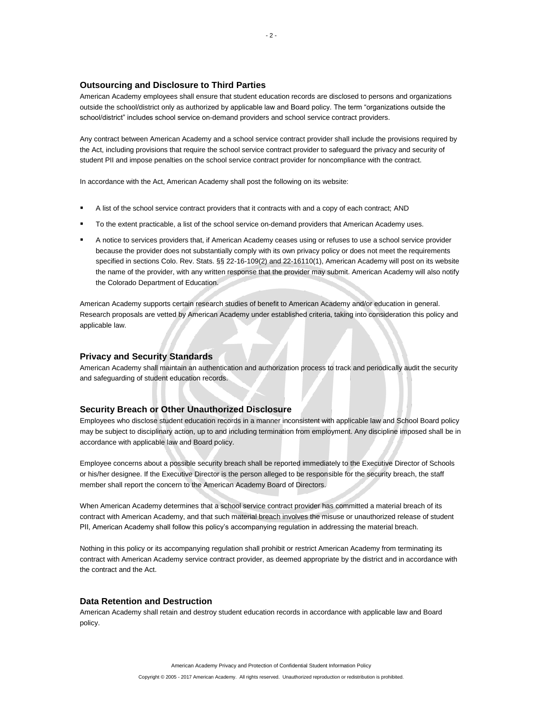## **Outsourcing and Disclosure to Third Parties**

American Academy employees shall ensure that student education records are disclosed to persons and organizations outside the school/district only as authorized by applicable law and Board policy. The term "organizations outside the school/district" includes school service on-demand providers and school service contract providers.

Any contract between American Academy and a school service contract provider shall include the provisions required by the Act, including provisions that require the school service contract provider to safeguard the privacy and security of student PII and impose penalties on the school service contract provider for noncompliance with the contract.

In accordance with the Act, American Academy shall post the following on its website:

- A list of the school service contract providers that it contracts with and a copy of each contract; AND
- To the extent practicable, a list of the school service on-demand providers that American Academy uses.
- A notice to services providers that, if American Academy ceases using or refuses to use a school service provider because the provider does not substantially comply with its own privacy policy or does not meet the requirements specified in sections Colo. Rev. Stats. §§ 22-16-109(2) and 22-16110(1), American Academy will post on its website the name of the provider, with any written response that the provider may submit. American Academy will also notify the Colorado Department of Education.

American Academy supports certain research studies of benefit to American Academy and/or education in general. Research proposals are vetted by American Academy under established criteria, taking into consideration this policy and applicable law.

# **Privacy and Security Standards**

American Academy shall maintain an authentication and authorization process to track and periodically audit the security and safeguarding of student education records.

# **Security Breach or Other Unauthorized Disclosure**

Employees who disclose student education records in a manner inconsistent with applicable law and School Board policy may be subject to disciplinary action, up to and including termination from employment. Any discipline imposed shall be in accordance with applicable law and Board policy.

Employee concerns about a possible security breach shall be reported immediately to the Executive Director of Schools or his/her designee. If the Executive Director is the person alleged to be responsible for the security breach, the staff member shall report the concern to the American Academy Board of Directors.

When American Academy determines that a school service contract provider has committed a material breach of its contract with American Academy, and that such material breach involves the misuse or unauthorized release of student PII, American Academy shall follow this policy's accompanying regulation in addressing the material breach.

Nothing in this policy or its accompanying regulation shall prohibit or restrict American Academy from terminating its contract with American Academy service contract provider, as deemed appropriate by the district and in accordance with the contract and the Act.

#### **Data Retention and Destruction**

American Academy shall retain and destroy student education records in accordance with applicable law and Board policy.

American Academy Privacy and Protection of Confidential Student Information Policy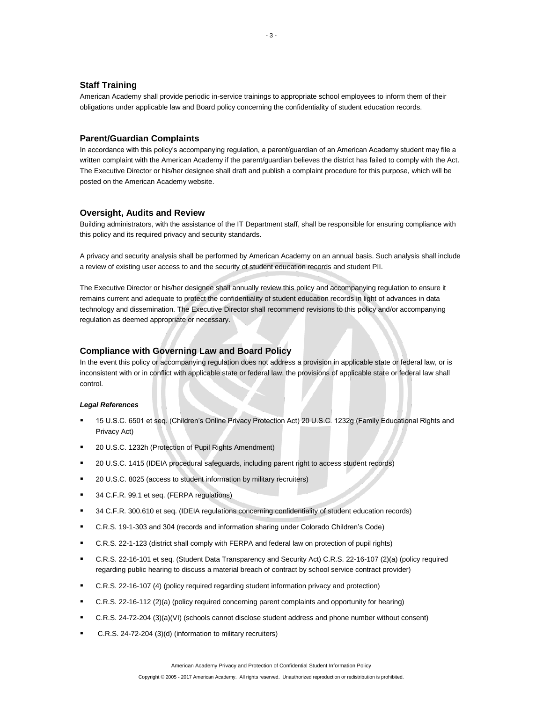# **Staff Training**

American Academy shall provide periodic in-service trainings to appropriate school employees to inform them of their obligations under applicable law and Board policy concerning the confidentiality of student education records.

## **Parent/Guardian Complaints**

In accordance with this policy's accompanying regulation, a parent/guardian of an American Academy student may file a written complaint with the American Academy if the parent/guardian believes the district has failed to comply with the Act. The Executive Director or his/her designee shall draft and publish a complaint procedure for this purpose, which will be posted on the American Academy website.

#### **Oversight, Audits and Review**

Building administrators, with the assistance of the IT Department staff, shall be responsible for ensuring compliance with this policy and its required privacy and security standards.

A privacy and security analysis shall be performed by American Academy on an annual basis. Such analysis shall include a review of existing user access to and the security of student education records and student PII.

The Executive Director or his/her designee shall annually review this policy and accompanying regulation to ensure it remains current and adequate to protect the confidentiality of student education records in light of advances in data technology and dissemination. The Executive Director shall recommend revisions to this policy and/or accompanying regulation as deemed appropriate or necessary.

## **Compliance with Governing Law and Board Policy**

In the event this policy or accompanying regulation does not address a provision in applicable state or federal law, or is inconsistent with or in conflict with applicable state or federal law, the provisions of applicable state or federal law shall control.

## *Legal References*

- 15 U.S.C. 6501 et seq. (Children's Online Privacy Protection Act) 20 U.S.C. 1232g (Family Educational Rights and Privacy Act)
- 20 U.S.C. 1232h (Protection of Pupil Rights Amendment)
- 20 U.S.C. 1415 (IDEIA procedural safeguards, including parent right to access student records)
- 20 U.S.C. 8025 (access to student information by military recruiters)
- 34 C.F.R. 99.1 et seq. (FERPA regulations)
- 34 C.F.R. 300.610 et seq. (IDEIA regulations concerning confidentiality of student education records)
- C.R.S. 19-1-303 and 304 (records and information sharing under Colorado Children's Code)
- C.R.S. 22-1-123 (district shall comply with FERPA and federal law on protection of pupil rights)
- C.R.S. 22-16-101 et seq. (Student Data Transparency and Security Act) C.R.S. 22-16-107 (2)(a) (policy required regarding public hearing to discuss a material breach of contract by school service contract provider)
- C.R.S. 22-16-107 (4) (policy required regarding student information privacy and protection)
- C.R.S. 22-16-112 (2)(a) (policy required concerning parent complaints and opportunity for hearing)
- C.R.S. 24-72-204 (3)(a)(VI) (schools cannot disclose student address and phone number without consent)
- C.R.S. 24-72-204 (3)(d) (information to military recruiters)